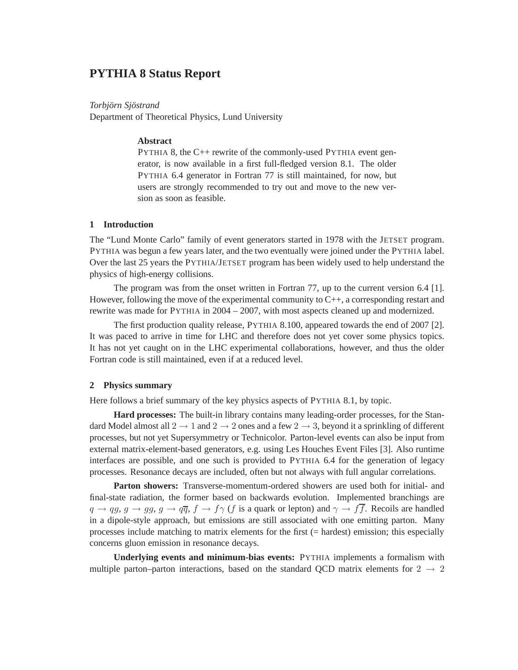# **PYTHIA 8 Status Report**

#### $Torbjörn Sjöstrand$

Department of Theoretical Physics, Lund University

#### **Abstract**

PYTHIA 8, the C++ rewrite of the commonly-used PYTHIA event generator, is now available in a first full-fledged version 8.1. The older PYTHIA 6.4 generator in Fortran 77 is still maintained, for now, but users are strongly recommended to try out and move to the new version as soon as feasible.

#### **1 Introduction**

The "Lund Monte Carlo" family of event generators started in 1978 with the JETSET program. PYTHIA was begun a few years later, and the two eventually were joined under the PYTHIA label. Over the last 25 years the PYTHIA/JETSET program has been widely used to help understand the physics of high-energy collisions.

The program was from the onset written in Fortran 77, up to the current version 6.4 [1]. However, following the move of the experimental community to  $C_{++}$ , a corresponding restart and rewrite was made for PYTHIA in 2004 – 2007, with most aspects cleaned up and modernized.

The first production quality release, PYTHIA 8.100, appeared towards the end of 2007 [2]. It was paced to arrive in time for LHC and therefore does not yet cover some physics topics. It has not yet caught on in the LHC experimental collaborations, however, and thus the older Fortran code is still maintained, even if at a reduced level.

#### **2 Physics summary**

Here follows a brief summary of the key physics aspects of PYTHIA 8.1, by topic.

**Hard processes:** The built-in library contains many leading-order processes, for the Standard Model almost all  $2 \rightarrow 1$  and  $2 \rightarrow 2$  ones and a few  $2 \rightarrow 3$ , beyond it a sprinkling of different processes, but not yet Supersymmetry or Technicolor. Parton-level events can also be input from external matrix-element-based generators, e.g. using Les Houches Event Files [3]. Also runtime interfaces are possible, and one such is provided to PYTHIA 6.4 for the generation of legacy processes. Resonance decays are included, often but not always with full angular correlations.

**Parton showers:** Transverse-momentum-ordered showers are used both for initial- and final-state radiation, the former based on backwards evolution. Implemented branchings are  $q \to qg, g \to gg, g \to q\overline{q}, f \to f\gamma$  (f is a quark or lepton) and  $\gamma \to f\overline{f}$ . Recoils are handled in a dipole-style approach, but emissions are still associated with one emitting parton. Many processes include matching to matrix elements for the first (= hardest) emission; this especially concerns gluon emission in resonance decays.

**Underlying events and minimum-bias events:** PYTHIA implements a formalism with multiple parton–parton interactions, based on the standard QCD matrix elements for  $2 \rightarrow 2$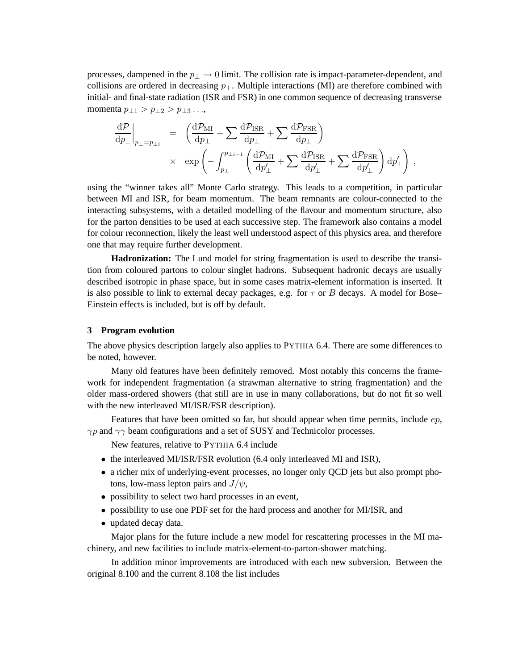processes, dampened in the  $p_{\perp} \rightarrow 0$  limit. The collision rate is impact-parameter-dependent, and collisions are ordered in decreasing  $p_{\perp}$ . Multiple interactions (MI) are therefore combined with initial- and final-state radiation (ISR and FSR) in one common sequence of decreasing transverse momenta  $p_{\perp 1} > p_{\perp 2} > p_{\perp 3} \ldots$ 

$$
\begin{array}{rcl} \left.\frac{\mathrm{d} \mathcal{P}}{\mathrm{d} p_{\perp}}\right|_{p_{\perp}=p_{\perp i}} & = & \left(\frac{\mathrm{d} \mathcal{P}_{\mathrm{MI}}}{\mathrm{d} p_{\perp}}+\sum\frac{\mathrm{d} \mathcal{P}_{\mathrm{ISR}}}{\mathrm{d} p_{\perp}}+\sum\frac{\mathrm{d} \mathcal{P}_{\mathrm{FSR}}}{\mathrm{d} p_{\perp}}\right) \\ & \times & \exp\left(-\int_{p_{\perp}}^{p_{\perp i-1}}\left(\frac{\mathrm{d} \mathcal{P}_{\mathrm{MI}}}{\mathrm{d} p_{\perp}'}+\sum\frac{\mathrm{d} \mathcal{P}_{\mathrm{ISR}}}{\mathrm{d} p_{\perp}'}+\sum\frac{\mathrm{d} \mathcal{P}_{\mathrm{FSR}}}{\mathrm{d} p_{\perp}'}\right)\mathrm{d} p_{\perp}'\right) \, , \end{array}
$$

using the "winner takes all" Monte Carlo strategy. This leads to a competition, in particular between MI and ISR, for beam momentum. The beam remnants are colour-connected to the interacting subsystems, with a detailed modelling of the flavour and momentum structure, also for the parton densities to be used at each successive step. The framework also contains a model for colour reconnection, likely the least well understood aspect of this physics area, and therefore one that may require further development.

**Hadronization:** The Lund model for string fragmentation is used to describe the transition from coloured partons to colour singlet hadrons. Subsequent hadronic decays are usually described isotropic in phase space, but in some cases matrix-element information is inserted. It is also possible to link to external decay packages, e.g. for  $\tau$  or B decays. A model for Bose– Einstein effects is included, but is off by default.

#### **3 Program evolution**

The above physics description largely also applies to PYTHIA 6.4. There are some differences to be noted, however.

Many old features have been definitely removed. Most notably this concerns the framework for independent fragmentation (a strawman alternative to string fragmentation) and the older mass-ordered showers (that still are in use in many collaborations, but do not fit so well with the new interleaved MI/ISR/FSR description).

Features that have been omitted so far, but should appear when time permits, include  $ep$ ,  $\gamma p$  and  $\gamma \gamma$  beam configurations and a set of SUSY and Technicolor processes.

New features, relative to PYTHIA 6.4 include

- the interleaved MI/ISR/FSR evolution (6.4 only interleaved MI and ISR),
- a richer mix of underlying-event processes, no longer only QCD jets but also prompt photons, low-mass lepton pairs and  $J/\psi$ ,
- possibility to select two hard processes in an event,
- possibility to use one PDF set for the hard process and another for MI/ISR, and
- updated decay data.

Major plans for the future include a new model for rescattering processes in the MI machinery, and new facilities to include matrix-element-to-parton-shower matching.

In addition minor improvements are introduced with each new subversion. Between the original 8.100 and the current 8.108 the list includes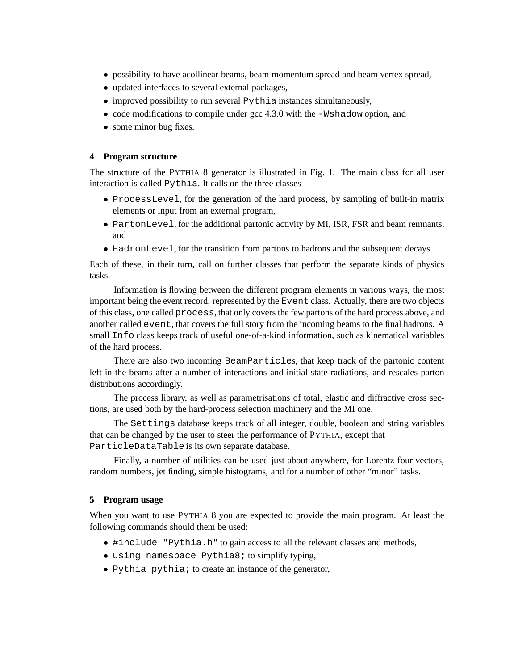- possibility to have acollinear beams, beam momentum spread and beam vertex spread,
- updated interfaces to several external packages,
- improved possibility to run several Pythia instances simultaneously,
- code modifications to compile under gcc 4.3.0 with the  $-Wshadow$  option, and
- some minor bug fixes.

#### **4 Program structure**

The structure of the PYTHIA 8 generator is illustrated in Fig. 1. The main class for all user interaction is called Pythia. It calls on the three classes

- ProcessLevel, for the generation of the hard process, by sampling of built-in matrix elements or input from an external program,
- PartonLevel, for the additional partonic activity by MI, ISR, FSR and beam remnants, and
- HadronLevel, for the transition from partons to hadrons and the subsequent decays.

Each of these, in their turn, call on further classes that perform the separate kinds of physics tasks.

Information is flowing between the different program elements in various ways, the most important being the event record, represented by the Event class. Actually, there are two objects of this class, one called process, that only covers the few partons of the hard process above, and another called event, that covers the full story from the incoming beams to the final hadrons. A small Info class keeps track of useful one-of-a-kind information, such as kinematical variables of the hard process.

There are also two incoming BeamParticles, that keep track of the partonic content left in the beams after a number of interactions and initial-state radiations, and rescales parton distributions accordingly.

The process library, as well as parametrisations of total, elastic and diffractive cross sections, are used both by the hard-process selection machinery and the MI one.

The Settings database keeps track of all integer, double, boolean and string variables that can be changed by the user to steer the performance of PYTHIA, except that ParticleDataTable is its own separate database.

Finally, a number of utilities can be used just about anywhere, for Lorentz four-vectors, random numbers, jet finding, simple histograms, and for a number of other "minor" tasks.

#### **5 Program usage**

When you want to use PYTHIA 8 you are expected to provide the main program. At least the following commands should them be used:

- #include "Pythia.h" to gain access to all the relevant classes and methods,
- using namespace Pythia8; to simplify typing,
- Pythia pythia; to create an instance of the generator,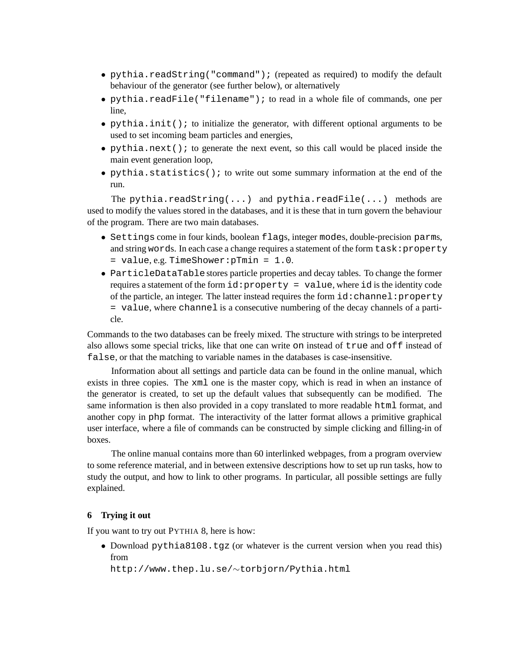- pythia.readString("command"); (repeated as required) to modify the default behaviour of the generator (see further below), or alternatively
- pythia.readFile("filename"); to read in a whole file of commands, one per line,
- pythia.init(); to initialize the generator, with different optional arguments to be used to set incoming beam particles and energies,
- pythia.next(); to generate the next event, so this call would be placed inside the main event generation loop,
- pythia.statistics(); to write out some summary information at the end of the run.

The pythia.readString(...) and pythia.readFile(...) methods are used to modify the values stored in the databases, and it is these that in turn govern the behaviour of the program. There are two main databases.

- Settings come in four kinds, boolean flags, integer modes, double-precision parms, and string words. In each case a change requires a statement of the form task: property = value, e.g. TimeShower:pTmin = 1.0.
- ParticleDataTablestores particle properties and decay tables. To change the former requires a statement of the form  $id:property = value$ , where id is the identity code of the particle, an integer. The latter instead requires the form  $id:channel:property$ = value, where channel is a consecutive numbering of the decay channels of a particle.

Commands to the two databases can be freely mixed. The structure with strings to be interpreted also allows some special tricks, like that one can write on instead of true and off instead of false, or that the matching to variable names in the databases is case-insensitive.

Information about all settings and particle data can be found in the online manual, which exists in three copies. The xml one is the master copy, which is read in when an instance of the generator is created, to set up the default values that subsequently can be modified. The same information is then also provided in a copy translated to more readable html format, and another copy in php format. The interactivity of the latter format allows a primitive graphical user interface, where a file of commands can be constructed by simple clicking and filling-in of boxes.

The online manual contains more than 60 interlinked webpages, from a program overview to some reference material, and in between extensive descriptions how to set up run tasks, how to study the output, and how to link to other programs. In particular, all possible settings are fully explained.

## **6 Trying it out**

If you want to try out PYTHIA 8, here is how:

• Download pythia8108.tgz (or whatever is the current version when you read this) from

```
http://www.thep.lu.se/∼torbjorn/Pythia.html
```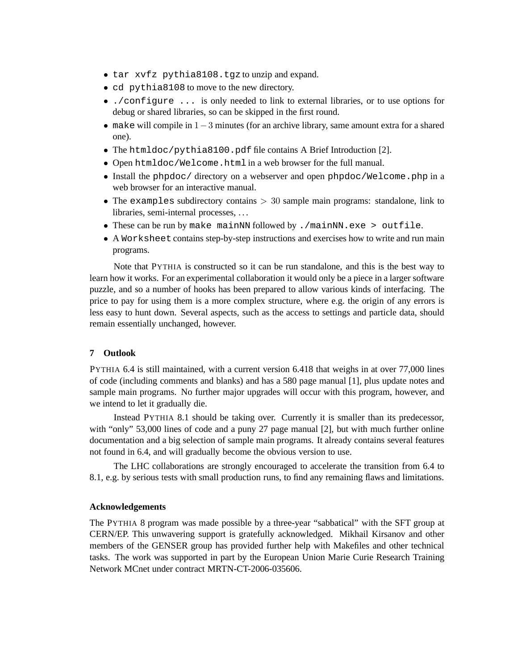- tar xvfz pythia8108.tgz to unzip and expand.
- cd pythia8108 to move to the new directory.
- ./configure ... is only needed to link to external libraries, or to use options for debug or shared libraries, so can be skipped in the first round.
- make will compile in  $1-3$  minutes (for an archive library, same amount extra for a shared one).
- The htmldoc/pythia8100.pdf file contains A Brief Introduction [2].
- Open htmldoc/Welcome.html in a web browser for the full manual.
- Install the phpdoc/ directory on a webserver and open phpdoc/Welcome.php in a web browser for an interactive manual.
- The examples subdirectory contains  $> 30$  sample main programs: standalone, link to libraries, semi-internal processes, . . .
- These can be run by make mainNN followed by ./mainNN.exe > outfile.
- A Worksheet contains step-by-step instructions and exercises how to write and run main programs.

Note that PYTHIA is constructed so it can be run standalone, and this is the best way to learn how it works. For an experimental collaboration it would only be a piece in a larger software puzzle, and so a number of hooks has been prepared to allow various kinds of interfacing. The price to pay for using them is a more complex structure, where e.g. the origin of any errors is less easy to hunt down. Several aspects, such as the access to settings and particle data, should remain essentially unchanged, however.

## **7 Outlook**

PYTHIA 6.4 is still maintained, with a current version 6.418 that weighs in at over 77,000 lines of code (including comments and blanks) and has a 580 page manual [1], plus update notes and sample main programs. No further major upgrades will occur with this program, however, and we intend to let it gradually die.

Instead PYTHIA 8.1 should be taking over. Currently it is smaller than its predecessor, with "only" 53,000 lines of code and a puny 27 page manual [2], but with much further online documentation and a big selection of sample main programs. It already contains several features not found in 6.4, and will gradually become the obvious version to use.

The LHC collaborations are strongly encouraged to accelerate the transition from 6.4 to 8.1, e.g. by serious tests with small production runs, to find any remaining flaws and limitations.

## **Acknowledgements**

The PYTHIA 8 program was made possible by a three-year "sabbatical" with the SFT group at CERN/EP. This unwavering support is gratefully acknowledged. Mikhail Kirsanov and other members of the GENSER group has provided further help with Makefiles and other technical tasks. The work was supported in part by the European Union Marie Curie Research Training Network MCnet under contract MRTN-CT-2006-035606.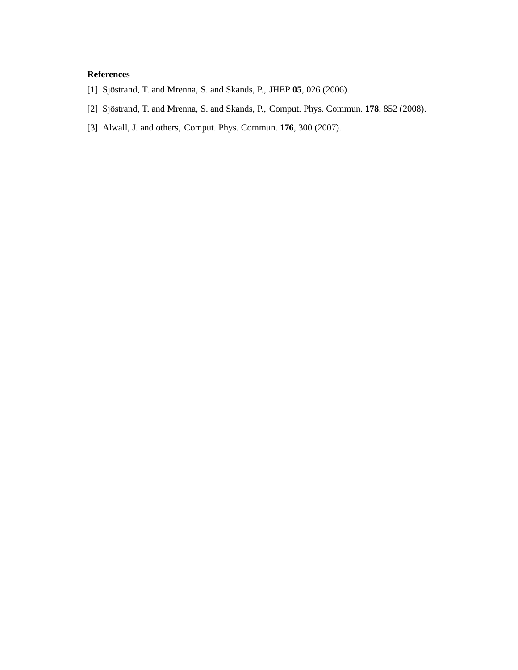## **References**

- [1] Sjöstrand, T. and Mrenna, S. and Skands, P., JHEP 05, 026 (2006).
- [2] Sjöstrand, T. and Mrenna, S. and Skands, P., Comput. Phys. Commun. 178, 852 (2008).
- [3] Alwall, J. and others, Comput. Phys. Commun. **176**, 300 (2007).